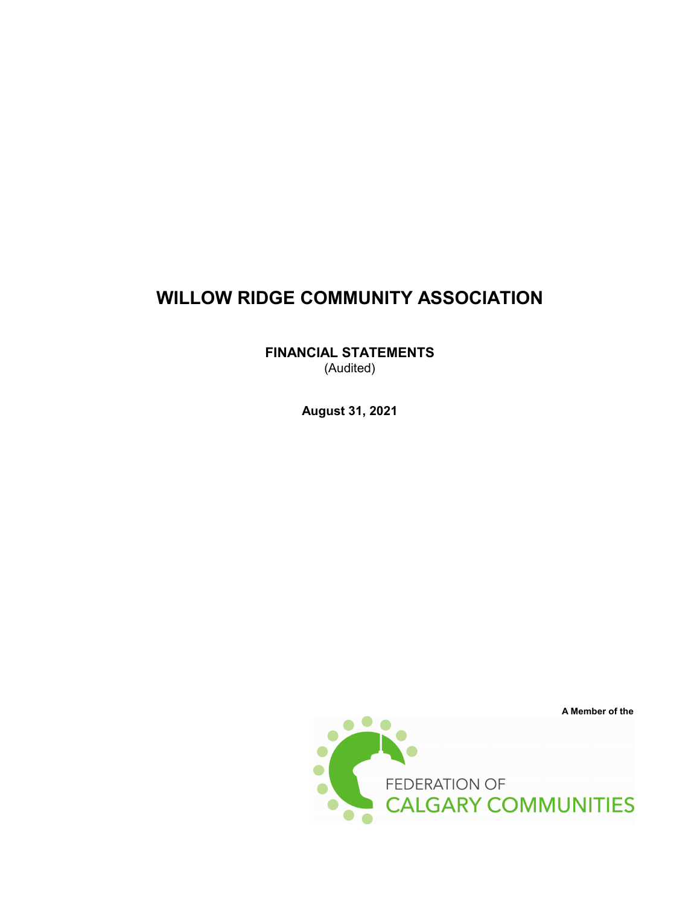**FINANCIAL STATEMENTS** (Audited)

**August 31, 2021**

FEDERATION OF CALGARY COMMUNITIES

**A Member of the**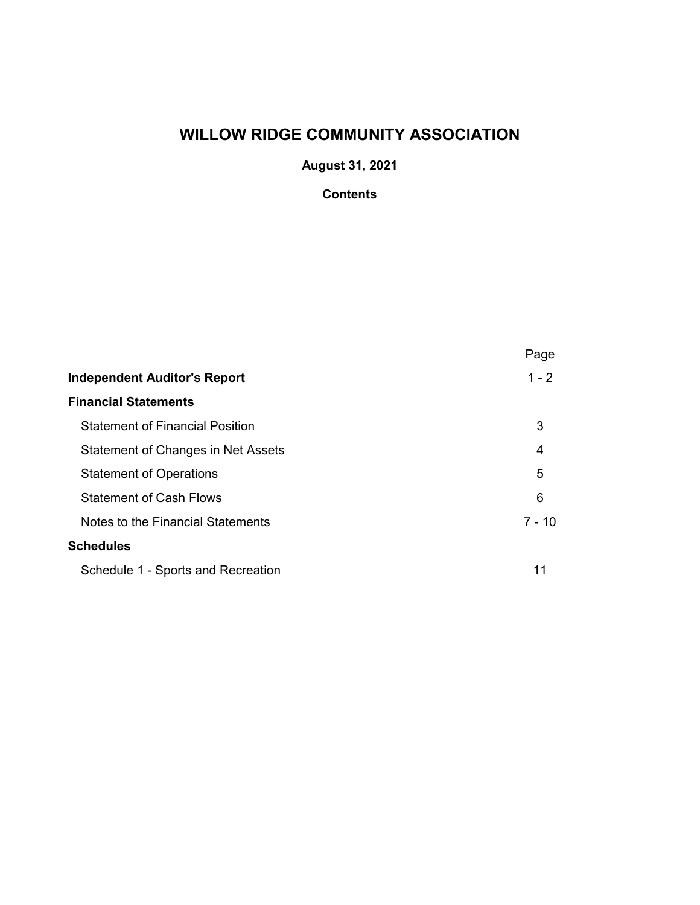**August 31, 2021**

# **Contents**

|                                        | Page     |
|----------------------------------------|----------|
| <b>Independent Auditor's Report</b>    | $1 - 2$  |
| <b>Financial Statements</b>            |          |
| <b>Statement of Financial Position</b> | 3        |
| Statement of Changes in Net Assets     | 4        |
| <b>Statement of Operations</b>         | 5        |
| <b>Statement of Cash Flows</b>         | 6        |
| Notes to the Financial Statements      | $7 - 10$ |
| <b>Schedules</b>                       |          |
| Schedule 1 - Sports and Recreation     | 11       |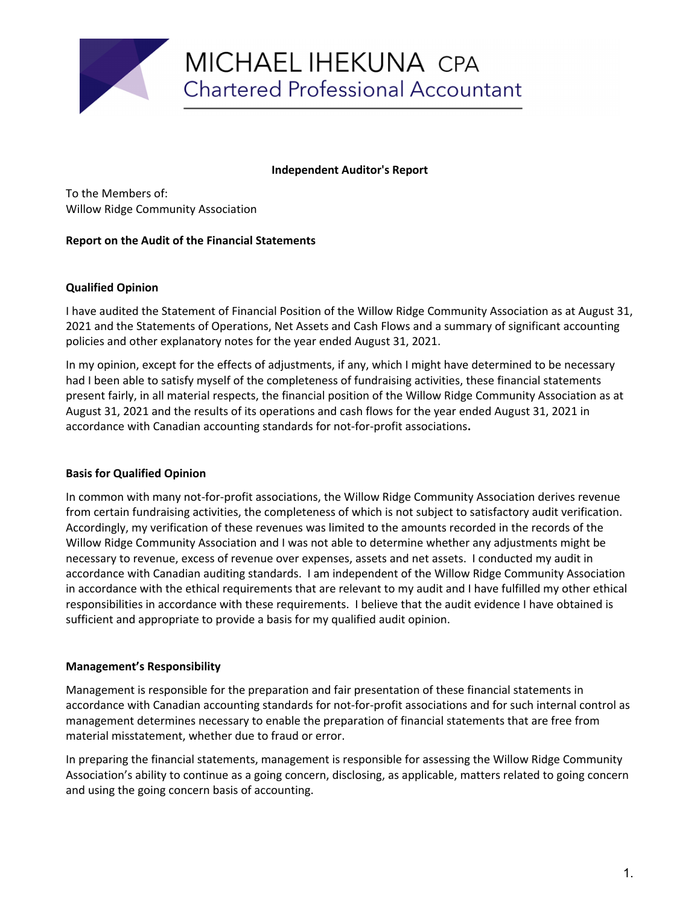

### **Independent Auditor's Report**

To the Members of: Willow Ridge Community Association

### **Report on the Audit of the Financial Statements**

### **Qualified Opinion**

I have audited the Statement of Financial Position of the Willow Ridge Community Association as at August 31, 2021 and the Statements of Operations, Net Assets and Cash Flows and a summary of significant accounting policies and other explanatory notes for the year ended August 31, 2021.

In my opinion, except for the effects of adjustments, if any, which I might have determined to be necessary had I been able to satisfy myself of the completeness of fundraising activities, these financial statements present fairly, in all material respects, the financial position of the Willow Ridge Community Association as at August 31, 2021 and the results of its operations and cash flows for the year ended August 31, 2021 in accordance with Canadian accounting standards for not-for-profit associations**.**

#### **Basis for Qualified Opinion**

In common with many not-for-profit associations, the Willow Ridge Community Association derives revenue from certain fundraising activities, the completeness of which is not subject to satisfactory audit verification. Accordingly, my verification of these revenues was limited to the amounts recorded in the records of the Willow Ridge Community Association and I was not able to determine whether any adjustments might be necessary to revenue, excess of revenue over expenses, assets and net assets. I conducted my audit in accordance with Canadian auditing standards. I am independent of the Willow Ridge Community Association in accordance with the ethical requirements that are relevant to my audit and I have fulfilled my other ethical responsibilities in accordance with these requirements. I believe that the audit evidence I have obtained is sufficient and appropriate to provide a basis for my qualified audit opinion.

#### **Management's Responsibility**

Management is responsible for the preparation and fair presentation of these financial statements in accordance with Canadian accounting standards for not-for-profit associations and for such internal control as management determines necessary to enable the preparation of financial statements that are free from material misstatement, whether due to fraud or error.

In preparing the financial statements, management is responsible for assessing the Willow Ridge Community Association's ability to continue as a going concern, disclosing, as applicable, matters related to going concern and using the going concern basis of accounting.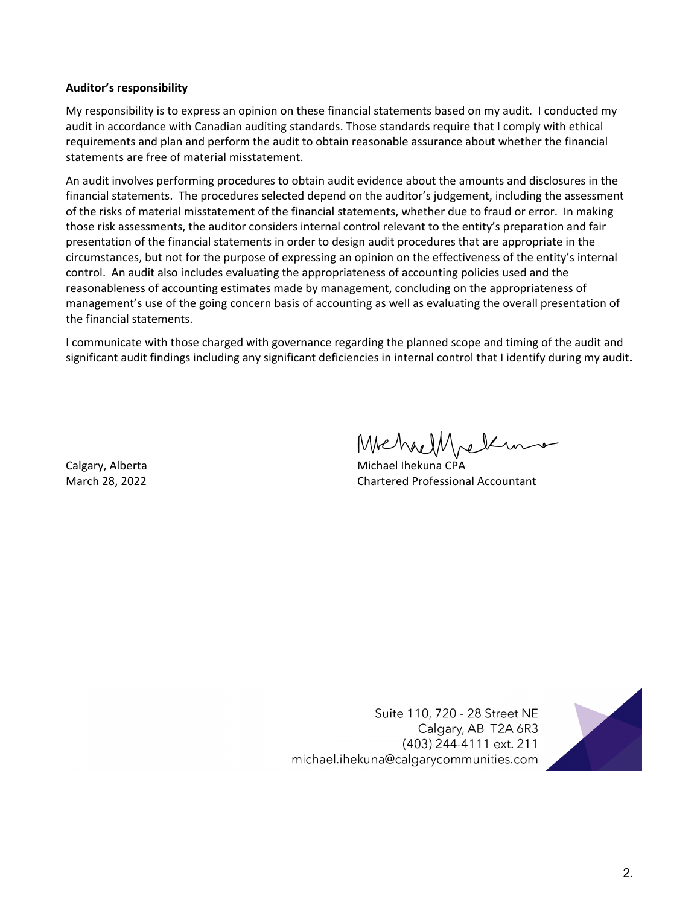### **Auditor's responsibility**

My responsibility is to express an opinion on these financial statements based on my audit. I conducted my audit in accordance with Canadian auditing standards. Those standards require that I comply with ethical requirements and plan and perform the audit to obtain reasonable assurance about whether the financial statements are free of material misstatement.

An audit involves performing procedures to obtain audit evidence about the amounts and disclosures in the financial statements. The procedures selected depend on the auditor's judgement, including the assessment of the risks of material misstatement of the financial statements, whether due to fraud or error. In making those risk assessments, the auditor considers internal control relevant to the entity's preparation and fair presentation of the financial statements in order to design audit procedures that are appropriate in the circumstances, but not for the purpose of expressing an opinion on the effectiveness of the entity's internal control. An audit also includes evaluating the appropriateness of accounting policies used and the reasonableness of accounting estimates made by management, concluding on the appropriateness of management's use of the going concern basis of accounting as well as evaluating the overall presentation of the financial statements.

I communicate with those charged with governance regarding the planned scope and timing of the audit and significant audit findings including any significant deficiencies in internal control that I identify during my audit**.**

MehaelMeline

Calgary, Alberta Michael Ihekuna CPA March 28, 2022 Chartered Professional Accountant

Suite 110, 720 - 28 Street NE Calgary, AB T2A 6R3 (403) 244-4111 ext. 211 michael.ihekuna@calgarycommunities.com

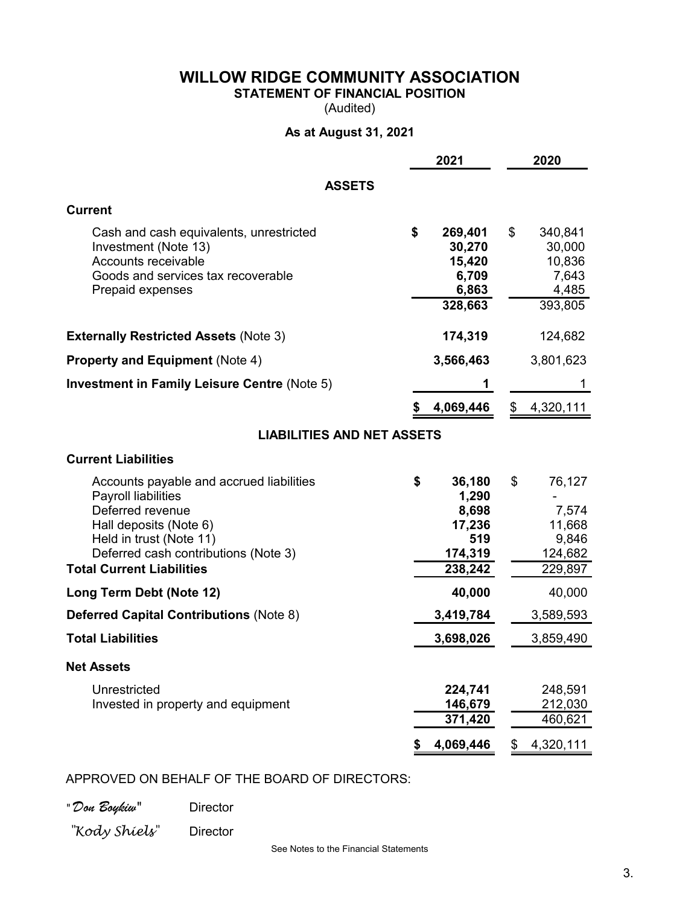**STATEMENT OF FINANCIAL POSITION**

(Audited)

# **As at August 31, 2021**

|                                                                                                                                                                                                                      | 2021                                                                  | 2020                                                           |
|----------------------------------------------------------------------------------------------------------------------------------------------------------------------------------------------------------------------|-----------------------------------------------------------------------|----------------------------------------------------------------|
| <b>ASSETS</b>                                                                                                                                                                                                        |                                                                       |                                                                |
| <b>Current</b>                                                                                                                                                                                                       |                                                                       |                                                                |
| Cash and cash equivalents, unrestricted<br>Investment (Note 13)<br>Accounts receivable<br>Goods and services tax recoverable<br>Prepaid expenses                                                                     | \$<br>269,401<br>30,270<br>15,420<br>6,709<br>6,863<br>328,663        | \$<br>340,841<br>30,000<br>10,836<br>7,643<br>4,485<br>393,805 |
| <b>Externally Restricted Assets (Note 3)</b>                                                                                                                                                                         | 174,319                                                               | 124,682                                                        |
| <b>Property and Equipment (Note 4)</b>                                                                                                                                                                               | 3,566,463                                                             | 3,801,623                                                      |
| <b>Investment in Family Leisure Centre (Note 5)</b>                                                                                                                                                                  |                                                                       |                                                                |
|                                                                                                                                                                                                                      | 4,069,446                                                             | \$4,320,111                                                    |
| <b>LIABILITIES AND NET ASSETS</b>                                                                                                                                                                                    |                                                                       |                                                                |
| <b>Current Liabilities</b>                                                                                                                                                                                           |                                                                       |                                                                |
| Accounts payable and accrued liabilities<br>Payroll liabilities<br>Deferred revenue<br>Hall deposits (Note 6)<br>Held in trust (Note 11)<br>Deferred cash contributions (Note 3)<br><b>Total Current Liabilities</b> | \$<br>36,180<br>1,290<br>8,698<br>17,236<br>519<br>174,319<br>238,242 | \$<br>76,127<br>7,574<br>11,668<br>9,846<br>124,682<br>229,897 |
| Long Term Debt (Note 12)                                                                                                                                                                                             | 40,000                                                                | 40,000                                                         |
| <b>Deferred Capital Contributions (Note 8)</b>                                                                                                                                                                       | 3,419,784                                                             | 3,589,593                                                      |
| <b>Total Liabilities</b>                                                                                                                                                                                             | 3,698,026                                                             | 3,859,490                                                      |
| <b>Net Assets</b>                                                                                                                                                                                                    |                                                                       |                                                                |
| Unrestricted<br>Invested in property and equipment                                                                                                                                                                   | 224,741<br>146,679<br>371,420                                         | 248,591<br>212,030<br>460,621                                  |
|                                                                                                                                                                                                                      | 4,069,446                                                             | 4,320,111<br>\$                                                |

## APPROVED ON BEHALF OF THE BOARD OF DIRECTORS:

*" Don Boykiw"* Director

*"Kody Shiels"* Director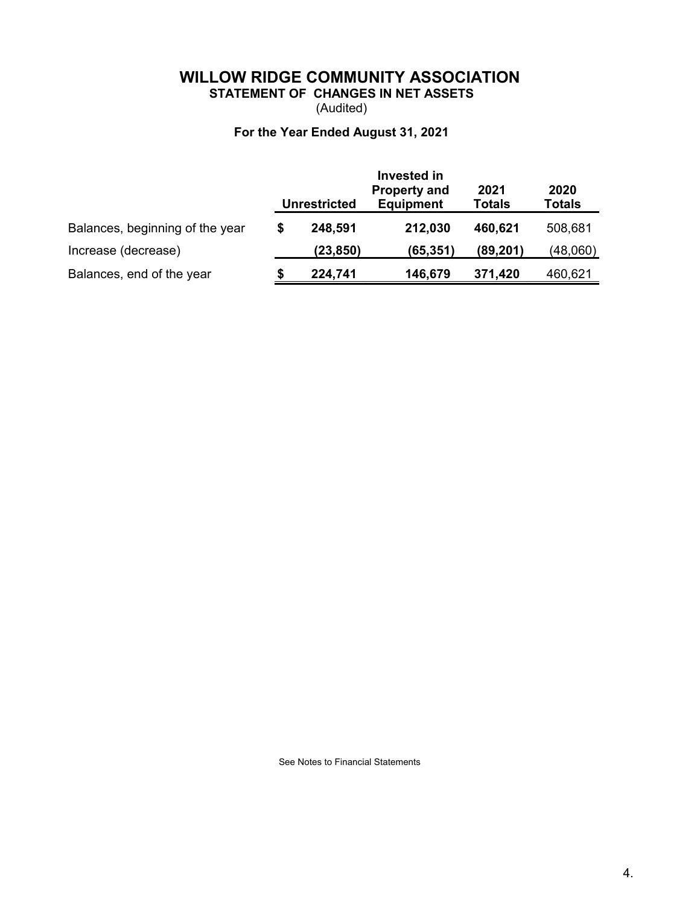# **WILLOW RIDGE COMMUNITY ASSOCIATION STATEMENT OF CHANGES IN NET ASSETS**

(Audited)

# **For the Year Ended August 31, 2021**

|                                 |   | <b>Unrestricted</b> | 2021<br><b>Totals</b> | 2020<br><b>Totals</b> |          |
|---------------------------------|---|---------------------|-----------------------|-----------------------|----------|
| Balances, beginning of the year | S | 248,591             | 212,030               | 460,621               | 508,681  |
| Increase (decrease)             |   | (23, 850)           | (65, 351)             | (89, 201)             | (48,060) |
| Balances, end of the year       |   | 224,741             | 146,679               | 371,420               | 460,621  |

See Notes to Financial Statements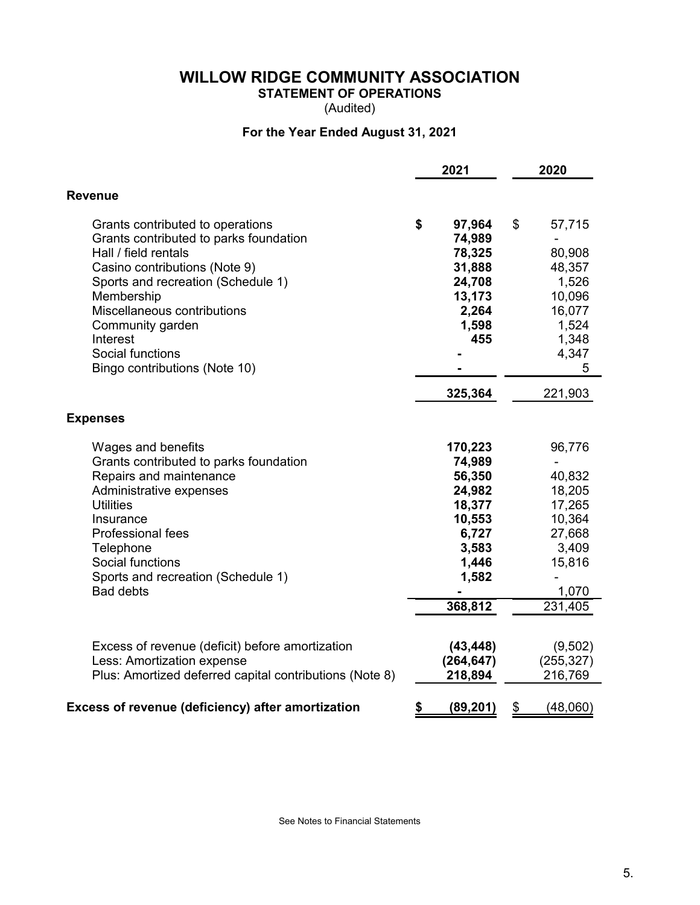**STATEMENT OF OPERATIONS**

(Audited)

# **For the Year Ended August 31, 2021**

|                                                                                                                                                                                                                                                                                                             | 2021                                                                                                     | 2020                                                                                                                        |
|-------------------------------------------------------------------------------------------------------------------------------------------------------------------------------------------------------------------------------------------------------------------------------------------------------------|----------------------------------------------------------------------------------------------------------|-----------------------------------------------------------------------------------------------------------------------------|
| <b>Revenue</b>                                                                                                                                                                                                                                                                                              |                                                                                                          |                                                                                                                             |
| Grants contributed to operations<br>Grants contributed to parks foundation<br>Hall / field rentals<br>Casino contributions (Note 9)<br>Sports and recreation (Schedule 1)<br>Membership<br>Miscellaneous contributions<br>Community garden<br>Interest<br>Social functions<br>Bingo contributions (Note 10) | \$<br>97,964<br>74,989<br>78,325<br>31,888<br>24,708<br>13,173<br>2,264<br>1,598<br>455                  | \$<br>57,715<br>80,908<br>48,357<br>1,526<br>10,096<br>16,077<br>1,524<br>1,348<br>4,347<br>5                               |
|                                                                                                                                                                                                                                                                                                             | 325,364                                                                                                  | 221,903                                                                                                                     |
| <b>Expenses</b>                                                                                                                                                                                                                                                                                             |                                                                                                          |                                                                                                                             |
| Wages and benefits<br>Grants contributed to parks foundation<br>Repairs and maintenance<br>Administrative expenses<br><b>Utilities</b><br>Insurance<br><b>Professional fees</b><br>Telephone<br>Social functions<br>Sports and recreation (Schedule 1)<br><b>Bad debts</b>                                  | 170,223<br>74,989<br>56,350<br>24,982<br>18,377<br>10,553<br>6,727<br>3,583<br>1,446<br>1,582<br>368,812 | 96,776<br>$\overline{\phantom{a}}$<br>40,832<br>18,205<br>17,265<br>10,364<br>27,668<br>3,409<br>15,816<br>1,070<br>231,405 |
| Excess of revenue (deficit) before amortization<br>Less: Amortization expense<br>Plus: Amortized deferred capital contributions (Note 8)                                                                                                                                                                    | (43, 448)<br>(264, 647)<br>218,894                                                                       | (9,502)<br>(255, 327)<br>216,769                                                                                            |
| Excess of revenue (deficiency) after amortization                                                                                                                                                                                                                                                           | \$<br>(89, 201)                                                                                          | \$<br>(48,060)                                                                                                              |

See Notes to Financial Statements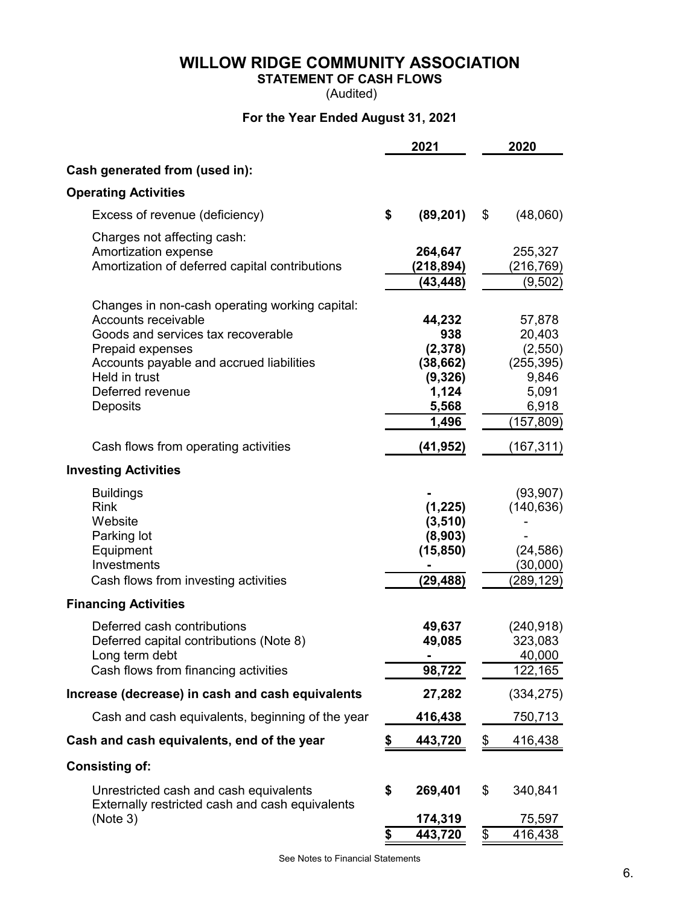# **STATEMENT OF CASH FLOWS**

(Audited)

# **For the Year Ended August 31, 2021**

|                                                  | 2021            | 2020                  |
|--------------------------------------------------|-----------------|-----------------------|
| Cash generated from (used in):                   |                 |                       |
| <b>Operating Activities</b>                      |                 |                       |
| Excess of revenue (deficiency)                   | \$<br>(89, 201) | \$<br>(48,060)        |
| Charges not affecting cash:                      |                 |                       |
| Amortization expense                             | 264,647         | 255,327               |
| Amortization of deferred capital contributions   | (218, 894)      | (216,769)             |
|                                                  | (43, 448)       | (9,502)               |
| Changes in non-cash operating working capital:   |                 |                       |
| Accounts receivable                              | 44,232          | 57,878                |
| Goods and services tax recoverable               | 938             | 20,403                |
| Prepaid expenses                                 | (2,378)         | (2,550)               |
| Accounts payable and accrued liabilities         | (38, 662)       | (255, 395)            |
| Held in trust                                    | (9,326)         | 9,846                 |
| Deferred revenue<br>Deposits                     | 1,124<br>5,568  | 5,091<br>6,918        |
|                                                  | 1,496           | (157, 809)            |
|                                                  |                 |                       |
| Cash flows from operating activities             | (41,952)        | (167,311)             |
| <b>Investing Activities</b>                      |                 |                       |
| <b>Buildings</b>                                 |                 | (93, 907)             |
| <b>Rink</b>                                      | (1, 225)        | (140, 636)            |
| Website                                          | (3, 510)        |                       |
| Parking lot                                      | (8,903)         |                       |
| Equipment<br>Investments                         | (15, 850)       | (24, 586)             |
| Cash flows from investing activities             | (29,488)        | (30,000)<br>(289,129) |
|                                                  |                 |                       |
| <b>Financing Activities</b>                      |                 |                       |
| Deferred cash contributions                      | 49,637          | (240, 918)            |
| Deferred capital contributions (Note 8)          | 49,085          | 323,083               |
| Long term debt                                   |                 | 40,000                |
| Cash flows from financing activities             | 98,722          | 122,165               |
| Increase (decrease) in cash and cash equivalents | 27,282          | (334, 275)            |
| Cash and cash equivalents, beginning of the year | 416,438         | <u>750,713 </u>       |
| Cash and cash equivalents, end of the year       | \$<br>443,720   | \$<br>416,438         |
| <b>Consisting of:</b>                            |                 |                       |
| Unrestricted cash and cash equivalents           | \$<br>269,401   | \$<br>340,841         |
| Externally restricted cash and cash equivalents  |                 |                       |
| (Note 3)                                         | 174,319         | 75,597                |
|                                                  | \$<br>443,720   | \$<br>416,438         |

See Notes to Financial Statements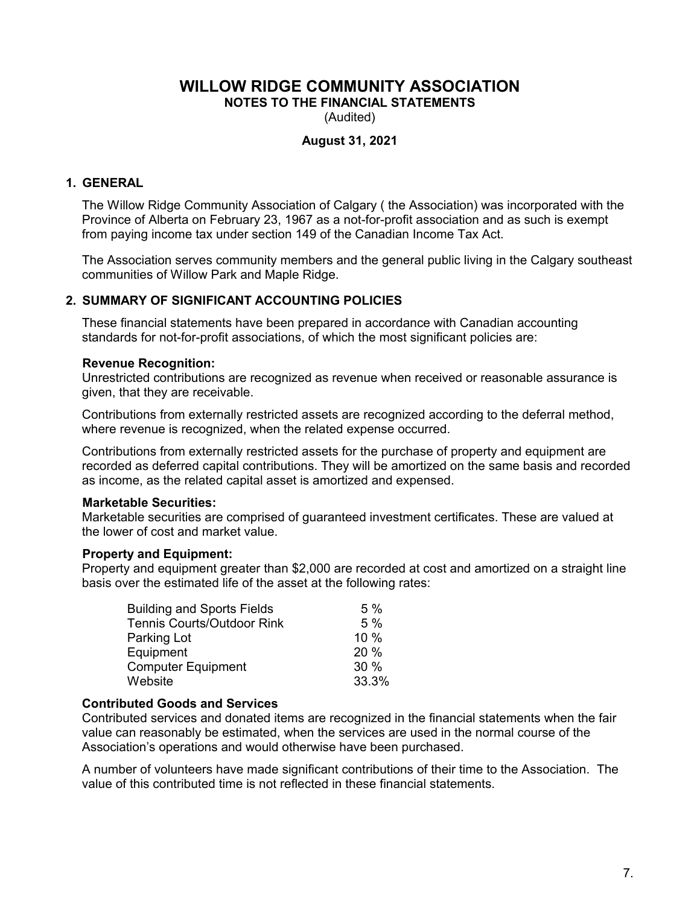**NOTES TO THE FINANCIAL STATEMENTS**

(Audited)

### **August 31, 2021**

## **1. GENERAL**

The Willow Ridge Community Association of Calgary ( the Association) was incorporated with the Province of Alberta on February 23, 1967 as a not-for-profit association and as such is exempt from paying income tax under section 149 of the Canadian Income Tax Act.

The Association serves community members and the general public living in the Calgary southeast communities of Willow Park and Maple Ridge.

### **2. SUMMARY OF SIGNIFICANT ACCOUNTING POLICIES**

These financial statements have been prepared in accordance with Canadian accounting standards for not-for-profit associations, of which the most significant policies are:

#### **Revenue Recognition:**

Unrestricted contributions are recognized as revenue when received or reasonable assurance is given, that they are receivable.

Contributions from externally restricted assets are recognized according to the deferral method, where revenue is recognized, when the related expense occurred.

Contributions from externally restricted assets for the purchase of property and equipment are recorded as deferred capital contributions. They will be amortized on the same basis and recorded as income, as the related capital asset is amortized and expensed.

#### **Marketable Securities:**

Marketable securities are comprised of guaranteed investment certificates. These are valued at the lower of cost and market value.

#### **Property and Equipment:**

Property and equipment greater than \$2,000 are recorded at cost and amortized on a straight line basis over the estimated life of the asset at the following rates:

| <b>Building and Sports Fields</b> | 5%    |
|-----------------------------------|-------|
| <b>Tennis Courts/Outdoor Rink</b> | 5%    |
| Parking Lot                       | 10 %  |
| Equipment                         | 20%   |
| <b>Computer Equipment</b>         | 30 %  |
| Website                           | 33.3% |

#### **Contributed Goods and Services**

Contributed services and donated items are recognized in the financial statements when the fair value can reasonably be estimated, when the services are used in the normal course of the Association's operations and would otherwise have been purchased.

A number of volunteers have made significant contributions of their time to the Association. The value of this contributed time is not reflected in these financial statements.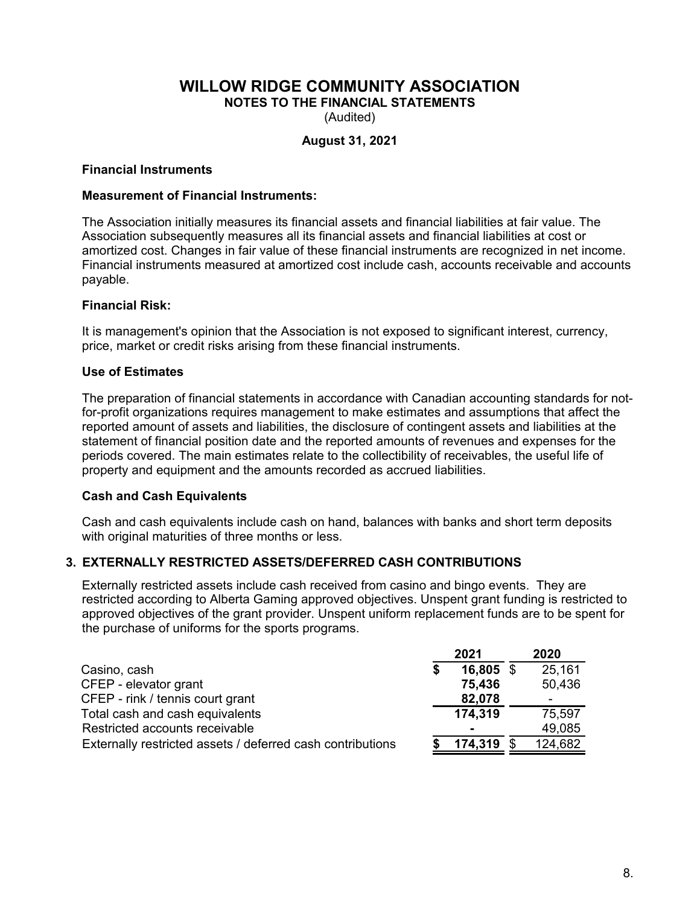**NOTES TO THE FINANCIAL STATEMENTS**

(Audited)

## **August 31, 2021**

### **Financial Instruments**

### **Measurement of Financial Instruments:**

The Association initially measures its financial assets and financial liabilities at fair value. The Association subsequently measures all its financial assets and financial liabilities at cost or amortized cost. Changes in fair value of these financial instruments are recognized in net income. Financial instruments measured at amortized cost include cash, accounts receivable and accounts payable.

## **Financial Risk:**

It is management's opinion that the Association is not exposed to significant interest, currency, price, market or credit risks arising from these financial instruments.

### **Use of Estimates**

The preparation of financial statements in accordance with Canadian accounting standards for notfor-profit organizations requires management to make estimates and assumptions that affect the reported amount of assets and liabilities, the disclosure of contingent assets and liabilities at the statement of financial position date and the reported amounts of revenues and expenses for the periods covered. The main estimates relate to the collectibility of receivables, the useful life of property and equipment and the amounts recorded as accrued liabilities.

#### **Cash and Cash Equivalents**

Cash and cash equivalents include cash on hand, balances with banks and short term deposits with original maturities of three months or less.

## **3. EXTERNALLY RESTRICTED ASSETS/DEFERRED CASH CONTRIBUTIONS**

Externally restricted assets include cash received from casino and bingo events. They are restricted according to Alberta Gaming approved objectives. Unspent grant funding is restricted to approved objectives of the grant provider. Unspent uniform replacement funds are to be spent for the purchase of uniforms for the sports programs.

|                                                            | 2021      | 2020    |
|------------------------------------------------------------|-----------|---------|
| Casino, cash                                               | 16,805 \$ | 25,161  |
| CFEP - elevator grant                                      | 75,436    | 50,436  |
| CFEP - rink / tennis court grant                           | 82,078    | -       |
| Total cash and cash equivalents                            | 174,319   | 75,597  |
| Restricted accounts receivable                             | -         | 49,085  |
| Externally restricted assets / deferred cash contributions | 174,319   | 124,682 |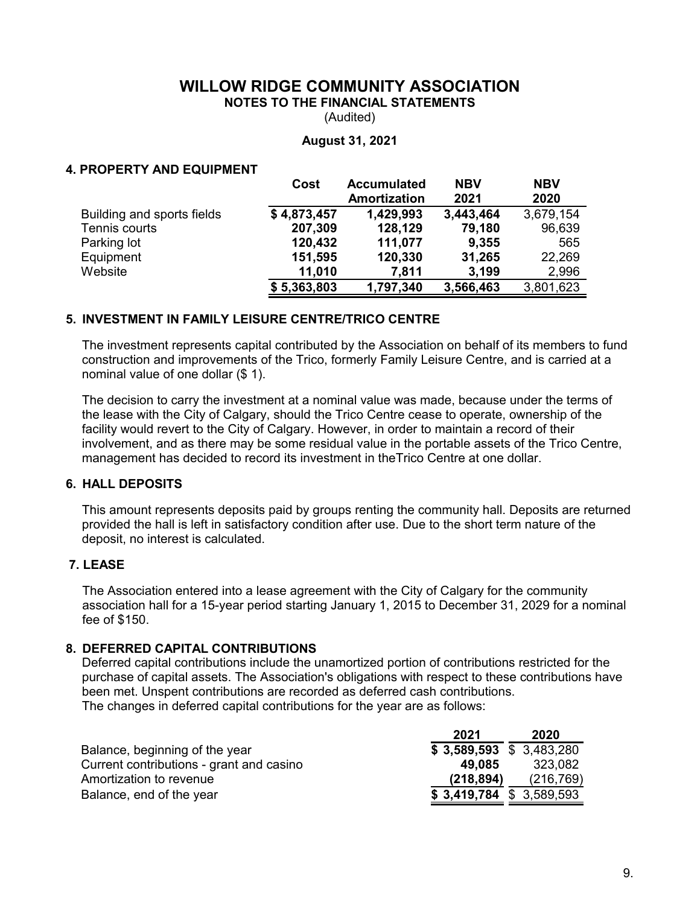**NOTES TO THE FINANCIAL STATEMENTS**

(Audited)

#### **August 31, 2021**

### **4. PROPERTY AND EQUIPMENT**

|                            | Cost        | <b>Accumulated</b><br>Amortization | <b>NBV</b><br>2021 | <b>NBV</b><br>2020 |
|----------------------------|-------------|------------------------------------|--------------------|--------------------|
| Building and sports fields | \$4,873,457 | 1,429,993                          | 3,443,464          | 3,679,154          |
| Tennis courts              | 207,309     | 128,129                            | 79,180             | 96,639             |
| Parking lot                | 120,432     | 111,077                            | 9,355              | 565                |
| Equipment                  | 151,595     | 120,330                            | 31,265             | 22,269             |
| Website                    | 11,010      | 7,811                              | 3,199              | 2,996              |
|                            | \$5,363,803 | 1,797,340                          | 3,566,463          | 3,801,623          |

## **5. INVESTMENT IN FAMILY LEISURE CENTRE/TRICO CENTRE**

The investment represents capital contributed by the Association on behalf of its members to fund construction and improvements of the Trico, formerly Family Leisure Centre, and is carried at a nominal value of one dollar (\$ 1).

The decision to carry the investment at a nominal value was made, because under the terms of the lease with the City of Calgary, should the Trico Centre cease to operate, ownership of the facility would revert to the City of Calgary. However, in order to maintain a record of their involvement, and as there may be some residual value in the portable assets of the Trico Centre, management has decided to record its investment in theTrico Centre at one dollar.

## **6. HALL DEPOSITS**

This amount represents deposits paid by groups renting the community hall. Deposits are returned provided the hall is left in satisfactory condition after use. Due to the short term nature of the deposit, no interest is calculated.

#### **7. LEASE**

The Association entered into a lease agreement with the City of Calgary for the community association hall for a 15-year period starting January 1, 2015 to December 31, 2029 for a nominal fee of \$150.

### **8. DEFERRED CAPITAL CONTRIBUTIONS**

Deferred capital contributions include the unamortized portion of contributions restricted for the purchase of capital assets. The Association's obligations with respect to these contributions have been met. Unspent contributions are recorded as deferred cash contributions. The changes in deferred capital contributions for the year are as follows:

|                                          | 2021                      | 2020       |
|------------------------------------------|---------------------------|------------|
| Balance, beginning of the year           | $$3,589,593 \$3,483,280$  |            |
| Current contributions - grant and casino | 49.085                    | 323.082    |
| Amortization to revenue                  | (218, 894)                | (216, 769) |
| Balance, end of the year                 | $$3,419,784$ $$3,589,593$ |            |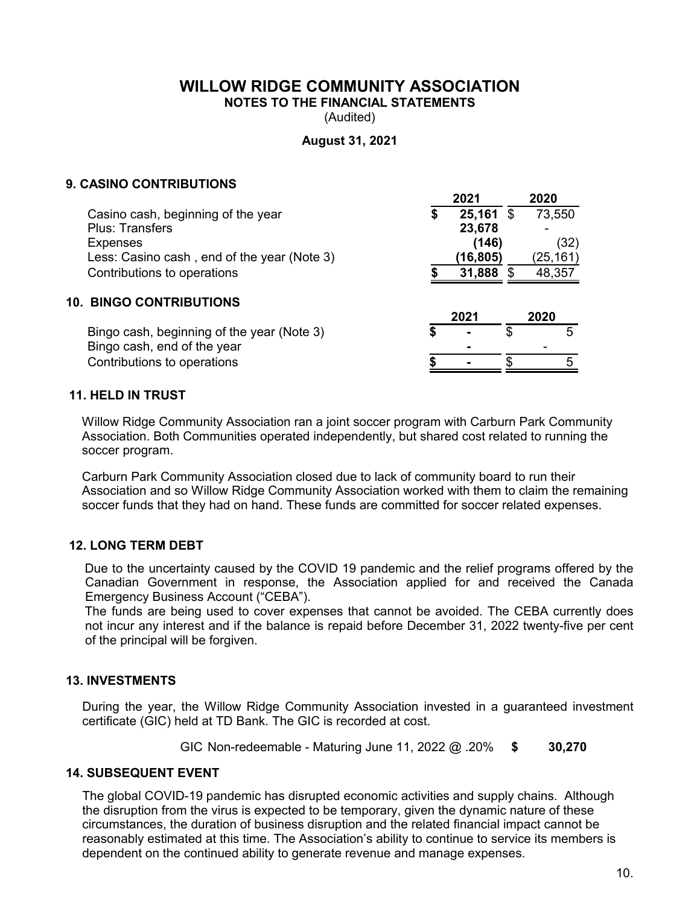**NOTES TO THE FINANCIAL STATEMENTS**

(Audited)

### **August 31, 2021**

### **9. CASINO CONTRIBUTIONS**

|                                             | 2021        | 2020      |
|---------------------------------------------|-------------|-----------|
| Casino cash, beginning of the year          | $25,161$ \$ | 73,550    |
| <b>Plus: Transfers</b>                      | 23,678      |           |
| <b>Expenses</b>                             | (146)       | (32)      |
| Less: Casino cash, end of the year (Note 3) | (16,805)    | (25, 161) |
| Contributions to operations                 | 31,888      | 48,357    |
| <b>10. BINGO CONTRIBUTIONS</b>              |             |           |
|                                             | 2021        | 2020      |
| Bingo cash, beginning of the year (Note 3)  | S           | 5         |
| Bingo cash, end of the year                 |             |           |
| Contributions to operations                 |             | 5         |
|                                             |             |           |

#### **11. HELD IN TRUST**

Willow Ridge Community Association ran a joint soccer program with Carburn Park Community Association. Both Communities operated independently, but shared cost related to running the soccer program.

Carburn Park Community Association closed due to lack of community board to run their Association and so Willow Ridge Community Association worked with them to claim the remaining soccer funds that they had on hand. These funds are committed for soccer related expenses.

#### **12. LONG TERM DEBT**

Due to the uncertainty caused by the COVID 19 pandemic and the relief programs offered by the Canadian Government in response, the Association applied for and received the Canada Emergency Business Account ("CEBA").

The funds are being used to cover expenses that cannot be avoided. The CEBA currently does not incur any interest and if the balance is repaid before December 31, 2022 twenty-five per cent of the principal will be forgiven.

### **13. INVESTMENTS**

During the year, the Willow Ridge Community Association invested in a guaranteed investment certificate (GIC) held at TD Bank. The GIC is recorded at cost.

GIC Non-redeemable - Maturing June 11, 2022 @ .20% **\$ 30,270**

### **14. SUBSEQUENT EVENT**

The global COVID-19 pandemic has disrupted economic activities and supply chains. Although the disruption from the virus is expected to be temporary, given the dynamic nature of these circumstances, the duration of business disruption and the related financial impact cannot be reasonably estimated at this time. The Association's ability to continue to service its members is dependent on the continued ability to generate revenue and manage expenses.